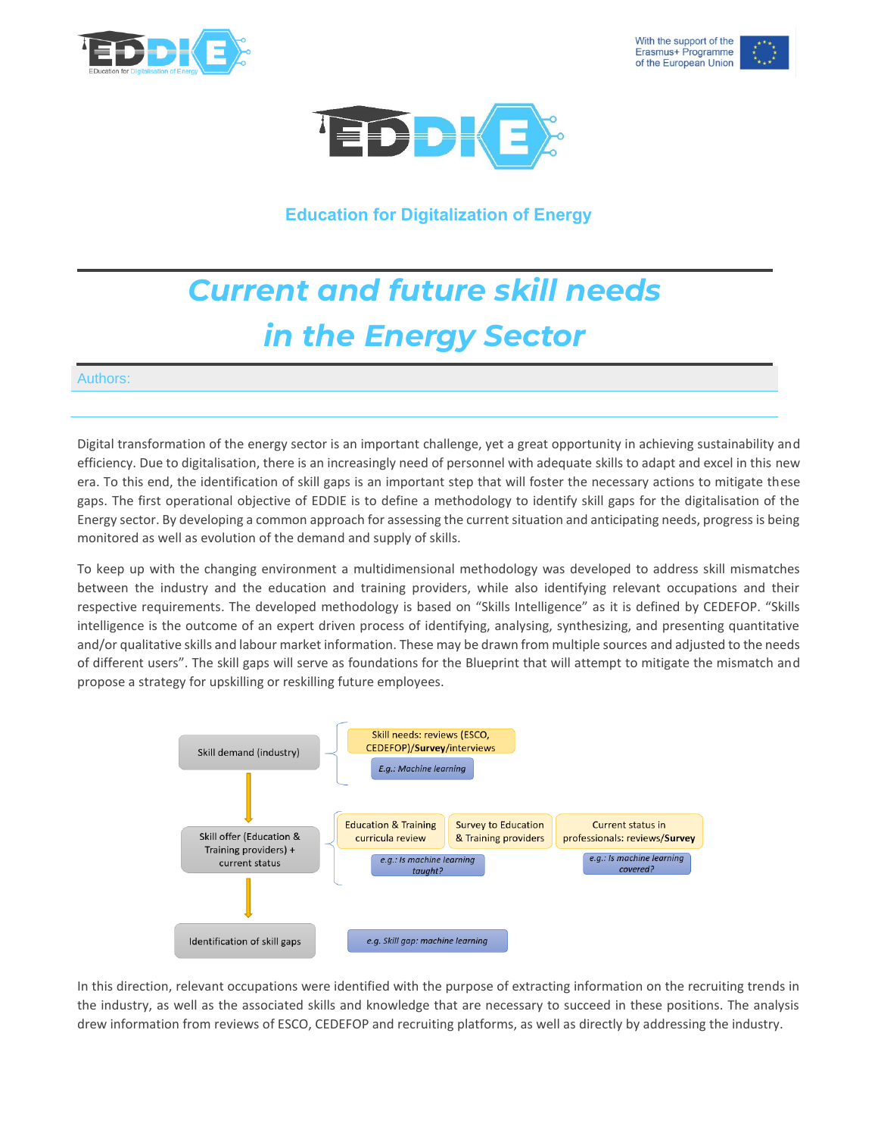





**Education for Digitalization of Energy**

## *Current and future skill needs in the Energy Sector*

## Authors:

Digital transformation of the energy sector is an important challenge, yet a great opportunity in achieving sustainability and efficiency. Due to digitalisation, there is an increasingly need of personnel with adequate skills to adapt and excel in this new era. To this end, the identification of skill gaps is an important step that will foster the necessary actions to mitigate these gaps. The first operational objective of EDDIE is to define a methodology to identify skill gaps for the digitalisation of the Energy sector. By developing a common approach for assessing the current situation and anticipating needs, progress is being monitored as well as evolution of the demand and supply of skills.

To keep up with the changing environment a multidimensional methodology was developed to address skill mismatches between the industry and the education and training providers, while also identifying relevant occupations and their respective requirements. The developed methodology is based on "Skills Intelligence" as it is defined by CEDEFOP. "Skills intelligence is the outcome of an expert driven process of identifying, analysing, synthesizing, and presenting quantitative and/or qualitative skills and labour market information. These may be drawn from multiple sources and adjusted to the needs of different users". The skill gaps will serve as foundations for the Blueprint that will attempt to mitigate the mismatch and propose a strategy for upskilling or reskilling future employees.



In this direction, relevant occupations were identified with the purpose of extracting information on the recruiting trends in the industry, as well as the associated skills and knowledge that are necessary to succeed in these positions. The analysis drew information from reviews of ESCO, CEDEFOP and recruiting platforms, as well as directly by addressing the industry.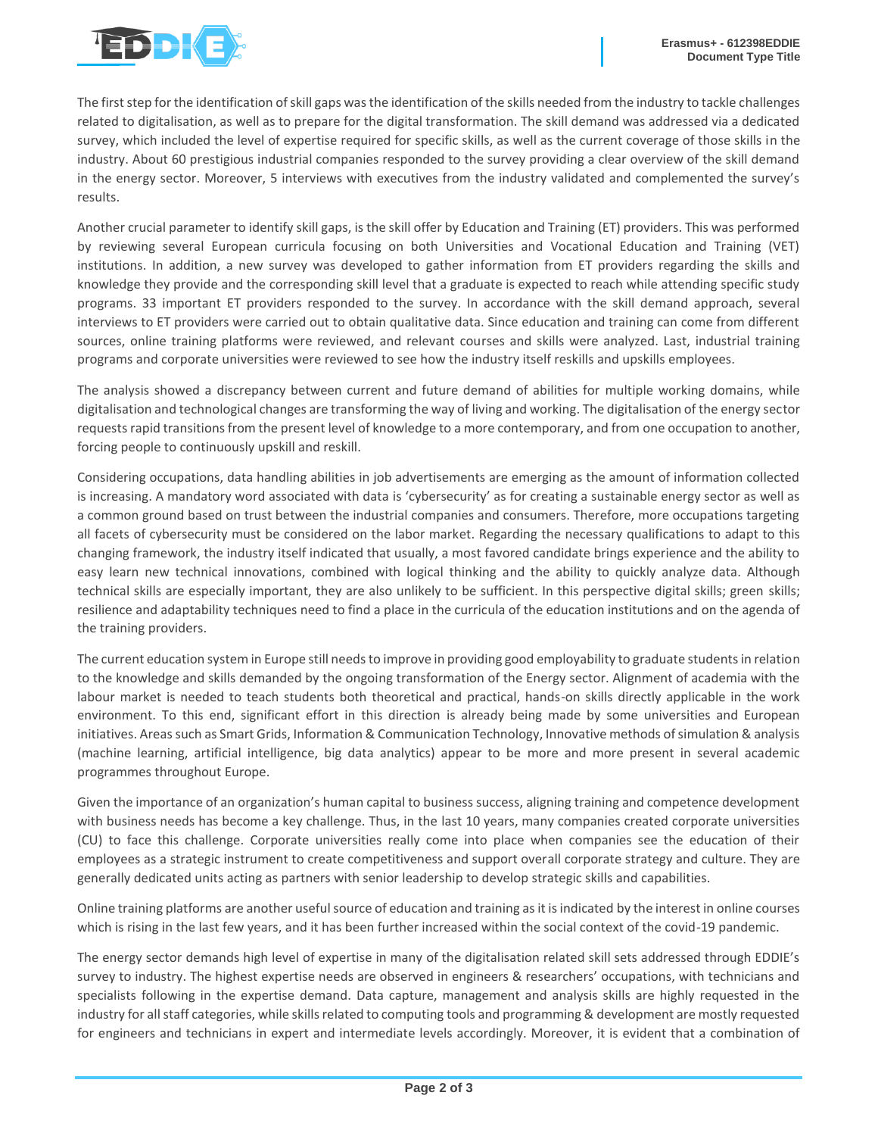

The first step for the identification of skill gaps was the identification of the skills needed from the industry to tackle challenges related to digitalisation, as well as to prepare for the digital transformation. The skill demand was addressed via a dedicated survey, which included the level of expertise required for specific skills, as well as the current coverage of those skills in the industry. About 60 prestigious industrial companies responded to the survey providing a clear overview of the skill demand in the energy sector. Moreover, 5 interviews with executives from the industry validated and complemented the survey's results.

Another crucial parameter to identify skill gaps, is the skill offer by Education and Training (ET) providers. This was performed by reviewing several European curricula focusing on both Universities and Vocational Education and Training (VET) institutions. In addition, a new survey was developed to gather information from ET providers regarding the skills and knowledge they provide and the corresponding skill level that a graduate is expected to reach while attending specific study programs. 33 important ET providers responded to the survey. In accordance with the skill demand approach, several interviews to ET providers were carried out to obtain qualitative data. Since education and training can come from different sources, online training platforms were reviewed, and relevant courses and skills were analyzed. Last, industrial training programs and corporate universities were reviewed to see how the industry itself reskills and upskills employees.

The analysis showed a discrepancy between current and future demand of abilities for multiple working domains, while digitalisation and technological changes are transforming the way of living and working. The digitalisation of the energy sector requests rapid transitions from the present level of knowledge to a more contemporary, and from one occupation to another, forcing people to continuously upskill and reskill.

Considering occupations, data handling abilities in job advertisements are emerging as the amount of information collected is increasing. A mandatory word associated with data is 'cybersecurity' as for creating a sustainable energy sector as well as a common ground based on trust between the industrial companies and consumers. Therefore, more occupations targeting all facets of cybersecurity must be considered on the labor market. Regarding the necessary qualifications to adapt to this changing framework, the industry itself indicated that usually, a most favored candidate brings experience and the ability to easy learn new technical innovations, combined with logical thinking and the ability to quickly analyze data. Although technical skills are especially important, they are also unlikely to be sufficient. In this perspective digital skills; green skills; resilience and adaptability techniques need to find a place in the curricula of the education institutions and on the agenda of the training providers.

The current education system in Europe still needs to improve in providing good employability to graduate students in relation to the knowledge and skills demanded by the ongoing transformation of the Energy sector. Alignment of academia with the labour market is needed to teach students both theoretical and practical, hands-on skills directly applicable in the work environment. To this end, significant effort in this direction is already being made by some universities and European initiatives. Areas such as Smart Grids, Information & Communication Technology, Innovative methods of simulation & analysis (machine learning, artificial intelligence, big data analytics) appear to be more and more present in several academic programmes throughout Europe.

Given the importance of an organization's human capital to business success, aligning training and competence development with business needs has become a key challenge. Thus, in the last 10 years, many companies created corporate universities (CU) to face this challenge. Corporate universities really come into place when companies see the education of their employees as a strategic instrument to create competitiveness and support overall corporate strategy and culture. They are generally dedicated units acting as partners with senior leadership to develop strategic skills and capabilities.

Online training platforms are another useful source of education and training as it is indicated by the interest in online courses which is rising in the last few years, and it has been further increased within the social context of the covid-19 pandemic.

The energy sector demands high level of expertise in many of the digitalisation related skill sets addressed through EDDIE's survey to industry. The highest expertise needs are observed in engineers & researchers' occupations, with technicians and specialists following in the expertise demand. Data capture, management and analysis skills are highly requested in the industry for all staff categories, while skills related to computing tools and programming & development are mostly requested for engineers and technicians in expert and intermediate levels accordingly. Moreover, it is evident that a combination of